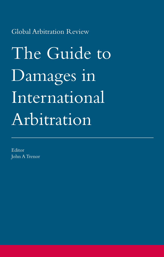Global Arbitration Review

The Guide to Damages in International Arbitration

Editor John A Trenor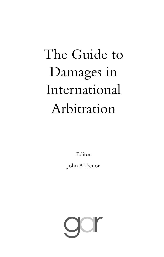# The Guide to Damages in International Arbitration

Editor

John A Trenor

gar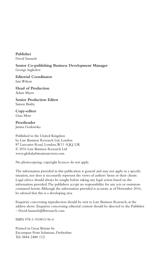**Publisher** David Samuels

**Senior Co-publishing Business Development Manager** George Ingledew

**Editorial Coordinator** Iain Wilson

**Head of Production** Adam Myers

**Senior Production Editor** Simon Busby

**Copy-editor** Gina Mete

**Proofreader** Janina Godowska

Published in the United Kingdom by Law Business Research Ltd, London 87 Lancaster Road, London, W11 1QQ, UK © 2016 Law Business Research Ltd www.globalarbitrationreview.com

No photocopying: copyright licences do not apply.

The information provided in this publication is general and may not apply in a specific situation, nor does it necessarily represent the views of authors' firms or their clients. Legal advice should always be sought before taking any legal action based on the information provided. The publishers accept no responsibility for any acts or omissions contained herein. Although the information provided is accurate as of November 2016, be advised that this is a developing area.

Enquiries concerning reproduction should be sent to Law Business Research, at the address above. Enquiries concerning editorial content should be directed to the Publisher – David.Samuels@lbresearch.com

ISBN 978-1-910813-96-6

Printed in Great Britain by Encompass Print Solutions, Derbyshire Tel: 0844 2480 112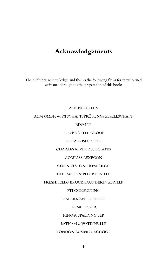### **Acknowledgements**

The publisher acknowledges and thanks the following firms for their learned assistance throughout the preparation of this book:

#### ALIXPARTNERS

#### A&M GMBH WIRTSCHAFTSPRÜFUNGSGESELLSCHAFT

BDO LLP

THE BRATTLE GROUP

CET ADVISORS LTD

CHARLES RIVER ASSOCIATES

COMPASS LEXECON

CORNERSTONE RESEARCH

DEBEVOISE & PLIMPTON LLP

FRESHFIELDS BRUCKHAUS DERINGER LLP

FTI CONSULTING

HABERMAN ILETT LLP

HOMBURGER

KING & SPALDING LLP

LATHAM & WATKINS LLP

LONDON BUSINESS SCHOOL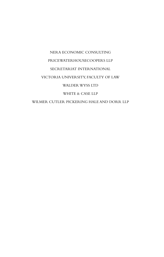## NERA ECONOMIC CONSULTING PRICEWATERHOUSECOOPERS LLP SECRETARIAT INTERNATIONAL VICTORIA UNIVERSITY, FACULTY OF LAW WALDER WYSS LTD WHITE & CASE LLP WILMER CUTLER PICKERING HALE AND DORR LLP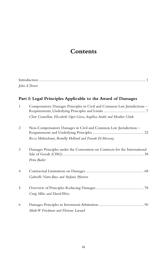## **Contents**

| John A Trenor |  |
|---------------|--|

#### **Part I: Legal Principles Applicable to the Award of Damages**

| $\mathbf{1}$ | Compensatory Damages Principles in Civil and Common Law Jurisdictions -                    |
|--------------|--------------------------------------------------------------------------------------------|
|              | Clare Connellan, Elizabeth Oger-Gross, Angélica André and Heather Clark                    |
| 2            | Non-Compensatory Damages in Civil and Common Law Jurisdictions -                           |
|              | Reza Mohtashami, Romilly Holland and Farouk El-Hosseny                                     |
| 3            | Damages Principles under the Convention on Contracts for the International<br>Petra Butler |
| 4            | Gabrielle Nater-Bass and Stefanie Pfisterer                                                |
| 5            | Craig Miles and David Weiss                                                                |
| 6            | Mark W Friedman and Floriane Lavaud                                                        |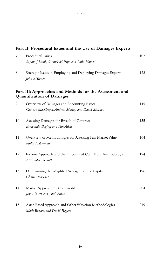|    | Part II: Procedural Issues and the Use of Damages Experts                                   |
|----|---------------------------------------------------------------------------------------------|
| 7  | Sophie J Lamb, Samuel M Pape and Laila Hamzi                                                |
| 8  | Strategic Issues in Employing and Deploying Damages Experts123<br>John A Trenor             |
|    | Part III: Approaches and Methods for the Assessment and<br><b>Quantification of Damages</b> |
| 9  | Gervase MacGregor, Andrew Maclay and David Mitchell                                         |
| 10 | Ermelinda Begiraj and Tim Allen                                                             |
| 11 | Overview of Methodologies for Assessing Fair Market Value 164<br>Philip Haberman            |
| 12 | Income Approach and the Discounted Cash Flow Methodology174<br>Alexander Demuth             |
| 13 | Determining the Weighted Average Cost of Capital 196<br>Charles Jonscher                    |
| 14 | José Alberro and Paul Zurek                                                                 |
| 15 | Asset-Based Approach and Other Valuation Methodologies 219<br>Mark Bezant and David Rogers  |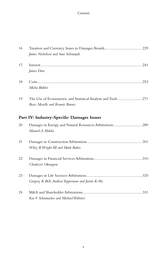#### *Contents*

| 16 | James Nicholson and Sara Selvarajah                                                            |
|----|------------------------------------------------------------------------------------------------|
| 17 | James Dow                                                                                      |
| 18 | Micha Bühler                                                                                   |
| 19 | The Use of Econometric and Statistical Analysis and Tools271<br>Boaz Moselle and Ronnie Barnes |
|    | Part IV: Industry-Specific Damages Issues                                                      |
| 20 | Damages in Energy and Natural Resources Arbitrations289<br>Manuel A Abdala                     |
| 21 | Wiley R Wright III and Mark Baker                                                              |
| 22 | Chudozie Okongwu                                                                               |
| 23 | Gregory K Bell, Andrew Tepperman and Justin K Ho                                               |
| 24 | Kai F Schumacher and Michael Wabnitz                                                           |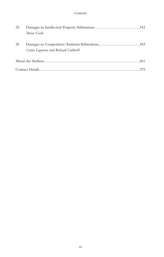| 25 |                                      |  |
|----|--------------------------------------|--|
|    | Trevor Cook                          |  |
| 26 |                                      |  |
|    |                                      |  |
|    | Carlos Lapuerta and Richard Caldwell |  |
|    |                                      |  |
|    |                                      |  |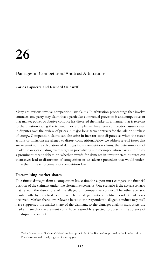## **26**

#### Damages in Competition/Antitrust Arbitrations

#### **Carlos Lapuerta and Richard Caldwell1**

Many arbitrations involve competition law claims. In arbitration proceedings that involve contracts, one party may claim that a particular contractual provision is anticompetitive, or that market power or abusive conduct has distorted the market in a manner that is relevant to the question facing the tribunal. For example, we have seen competition issues raised in disputes over the review of prices in major long-term contracts for the sale or purchase of energy. Competition claims can also arise in investor-state disputes, as when the state's actions or omissions are alleged to distort competition. Below we address several issues that are relevant to the calculation of damages from competition claims: the determination of market shares, calculating overcharges in price-fixing and monopolisation cases, and finally a prominent recent debate on whether awards for damages in investor-state disputes can themselves lead to distortions of competition or set adverse precedent that would undermine the future enforcement of competition law.

#### **Determining market shares**

To estimate damages from a competition law claim, the expert must compare the financial position of the claimant under two alternative scenarios. One scenario is the actual scenario that reflects the distortions of the alleged anticompetitive conduct. The other scenario is inherently hypothetical: one in which the alleged anticompetitive conduct had never occurred. Market shares are relevant because the respondent's alleged conduct may well have suppressed the market share of the claimant, so the damages analysis must assess the market share that the claimant could have reasonably expected to obtain in the absence of the disputed conduct.

<sup>1</sup> Carlos Lapuerta and Richard Caldwell are both principals of the Brattle Group, based in the London office. They have worked closely together for many years.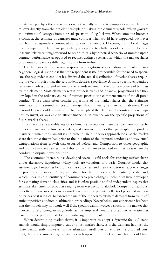Assessing a hypothetical scenario is not actually unique to competition law claims; it follows directly from the broader principle of making the claimant whole, which governs the estimate of damages from a broad spectrum of legal claims. When someone breaches a contract, the estimate of damages must consider what would have happened, but never did, had the respondent continued to honour the contract. However, claims for damages from competition claims are particularly susceptible to challenges of speculation, because it seems relatively straightforward to reconstruct a hypothetical scenario of uninterrupted contract performance, as opposed to reconstructing a scenario in which the market shares of various competitors differ significantly from reality.

For claimants there are several responses to allegations of speculation over market shares. A general logical response is that the respondent is itself responsible for the need to speculate; the respondent's conduct has distorted the actual distribution of market shares, requiring the very inquiry that the respondent declares speculative. A more specific evidentiary response involves a careful review of the records retained in the ordinary course of business by the claimant. Most claimants retain business plans and financial projections that they developed in the ordinary course of business prior to the commencement of the disputed conduct. Those plans often contain projections of the market shares that the claimants anticipated, and a sound analysis of damages should investigate their reasonableness. Their reasonableness should command particular weight if the claimant demonstrated a willingness to invest, or was able to attract financing, in reliance on the specific projections of future market shares.

To check the reasonableness of a claimant's projections there are two common techniques: an analysis of time series data, and comparisons to other geographic or product markets in which the claimant is also present. The time series approach looks at the market share that the claimant had prior to the initiation of the disputed conduct, and may entail extrapolations from growth that occurred beforehand. Comparison to other geographic and product markets can test the ability of the claimant to succeed in other areas where the conduct in dispute never occurred.

The economic literature has developed several useful tools for assessing market shares under alternative hypotheses. Many tools are variations of a basic 'Cournot' model that assumes logical responses by producers as customers and their competitors react to changes in prices and quantities. A key ingredient for these models is the elasticity of demand, which measures the sensitivity of consumers to price changes. Techniques have developed for estimating demand elasticities, and it is often possible to find independent papers that estimate elasticities for products ranging from electricity to alcohol. Competition authorities often use variants of Cournot models to assess the potential effects of proposed mergers on prices, so it is logical to extend the use of the models to estimate damages from claims of anticompetitive conduct in arbitration proceedings. Nevertheless, our experience has been that the models may not work well if the specific claim involves a shock to the market that is exceptionally strong in magnitude, as the empirical literature often derives elasticities based on time periods that do not involve significant market disruptions.

When determining market shares, it is important to adopt a dynamic focus. A static analysis would simply impute a value to lost market share, as if the claimant had lost the share permanently. However, if the arbitration itself puts an end to the disputed conduct, then the claimant may eventually catch up with the market share that it could have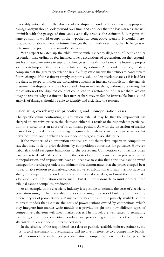reasonably anticipated in the absence of the disputed conduct. If so, then an appropriate damage analysis should look forward over time, and consider that the lost market share will diminish with the passage of time, and eventually cease as the claimant fully regains the same position it would occupy in the hypothetical competitive scenario. It would, therefore, be reasonable to measure future damages that diminish over time; the challenge is to determine the pace of the claimant's catch-up.

With respect to catch-up, the tables reverse with respect to allegations of speculation. A respondent may ordinarily feel inclined to levy accusations of speculation, but the respondent has a natural incentive to support a damage estimate that looks into the future to project a rapid catch-up rate that reduces the total damage estimate. A respondent can legitimately complain that the greater speculation lies in a fully static analysis that refuses to contemplate future changes. If the claimant simply imputes a value to lost market share, as if it had lost the share in perpetuity, then the calculation contains an internal contradiction: the analysis presumes that disputed conduct has caused a loss in market share, without considering that the cessation of the disputed conduct could lead to a restoration of market share. We can imagine reasons why a claimant's lost market share may in fact be irreversible, but a sound analysis of damages should be able to identify and articulate the reasons.

#### **Calculating overcharges in price-fixing and monopolisation cases**

The specific claim confronting an arbitration tribunal may be that the respondent has charged an excessive price to the claimant, either as a result of the respondent's participation in a cartel or as an abuse of its dominant position. As with the discussion of market shares above, the calculation of damages requires the analysis of an alternative scenario that never occurred: one in which the respondent charged a reasonable price.

If the members of an arbitration tribunal are not themselves experts in competition law, they may look to prior decisions by competition authorities for guidance. However, tribunals should recognise limitations to the precedent. Competition commissions often have access to detailed data concerning the costs of companies involved in price-fixing and monopolisation, and respondents have an incentive to claim that a tribunal cannot award damages for overcharges unless the claimant first demonstrates that the prices charged bear no reasonable relation to underlying costs. However, arbitration tribunals may not have the ability to compel the respondent to produce detailed cost data, and must therefore strike a balance. Cost information can be useful, but it is not reasonable to insist on data if the tribunal cannot compel its production.

As an example, in the electricity industry, it is possible to estimate the costs of electricity generation using publicly available studies concerning the costs of building and operating different types of power stations. Many electricity companies use publicly available studies to create models that estimate the costs of power stations owned by competitors, which they integrate into market-wide models that provide insight into how different types of competitive behaviour will affect market prices. The models are well-suited to estimating overcharges from anticompetitive conduct, and provide a good example of a reasonable alternative to a respondent's internal cost data.

In the absence of the respondent's cost data or publicly available industry estimates, the most logical assessment of overcharging will involve a reference to a competitive benchmark. Commodities exchanges provide natural competitive benchmarks for products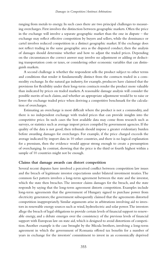ranging from metals to energy. In such cases there are two principal challenges to measuring overcharges. First involves the distinction between geographic markets. Often the price in the exchange will involve a separate geographic market than the one in dispute – the exchange may reflect effective competition by buyers and sellers, while the dominance or cartel involves reduced competition in a distinct geographic market. If the exchange does not reflect trading in the same geographic area as the disputed conduct, then the analysis of damages should determine whether and how to adjust the traded prices. Depending on the circumstances the correct answer may involve no adjustment or adding or deducting transportation costs or taxes, or considering other economic variables that can distinguish markets.

A second challenge is whether the respondent sells the product subject to other terms and conditions that render it fundamentally distinct from the contracts traded in a commodity exchange. In the natural gas industry, for example, producers have claimed that the provisions for flexibility under their long-term contracts render the product more valuable than indicated by prices on traded markets. A reasonable damage analysis will consider the possible merits of such claims, and whether an appropriate adjustment would be to raise or lower the exchange traded price when deriving a competitive benchmark for the calculation of overcharges.

Estimating an overcharge is most difficult where the product is not a commodity, and there is no independent exchange with traded prices that can provide insights into the competitive price. In such cases the best available data may come from research such as surveys, or statistics such as average import prices compiled by government agencies. If the quality of the data is not good, then tribunals should impose a greater evidentiary burden before awarding damages for overcharges. For example, if the price charged exceeds the average indicated by import data in 10 other countries, and there is no logical explanation for a premium, then the evidence would appear strong enough to create a presumption of overcharging. In contrast, showing that the price is the third or fourth highest within a sample of 10 countries might not be enough.

#### **Claims that damage awards can distort competition**

Several recent disputes have involved a perceived conflict between competition law issues and the breach of legitimate investor expectations under bilateral investment treaties. The common fact pattern involves a long-term agreement between the state and the investor, which the state then breaches. The investor claims damages for the breach, and the state responds by saying that the long-term agreement distorts competition. Examples include long-term agreements that the government of Hungary signed to purchase power from electricity generators; the government subsequently claimed that the agreements distorted competition inappropriately. Similar arguments arise in arbitrations involving aid to investors in renewable energy sources such as wind, hydroelectric and solar power. The investors allege the breach of legal obligations to provide certain levels of financial support to renewable energy, and a debate emerges over the consistency of the previous levels of financial support with European law on state aid, which is designed to avoid distortions of competition. Another example is the case brought by the Micula brothers, involving a long-term agreement in which the government of Romania offered tax benefits for a number of years in exchange for the investors' commitment to invest in an economically deprived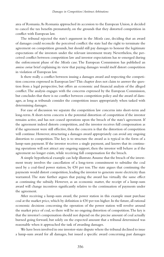area of Romania. As Romania approached its accession to the European Union, it decided to cancel the tax benefits prematurely, on the grounds that they distorted competition in conflict with European law.

The tribunal rejected the state's argument in the *Micula* case, deciding that an award of damages could reconcile the perceived conflict: the state had the right to terminate the agreement on competition grounds, but should still pay damages to honour the legitimate expectations of the investors under the relevant investment treaty. Nevertheless, the perceived conflict between competition law and investor expectations has re-emerged during the enforcement phase of the *Micula* case. The European Commission has published an *amicus curiae* brief explaining its view that paying damages would itself distort competition in violation of European law.

Is there really a conflict between issuing a damages award and respecting the competition concerns expressed in European law? This chapter does not claim to answer the question from a legal perspective, but offers an economic and financial analysis of the alleged conflict. The analysis engages with the concerns expressed by the European Commission, but concludes that there is no conflict between competition policy and the award of damages, as long as tribunals consider the competition issues appropriately when tasked with determining damages.

For ease of discussion we separate the competition law concerns into short-term and long-term. A short-term concern is the potential distortion of competition if the investor remains active, and has not ceased operations upon the breach of the state's agreement. If the agreement indeed distorts competition, and the investor receives full compensation as if the agreement were still effective, then the concern is that the distortion of competition will continue. However, structuring a damages award appropriately can avoid any ongoing distortion to competition. The key is to structure the award as is typical in the form of a lump-sum payment. If the investor receives a single payment, and knows that its continuing operations will not attract any ongoing support, then the investor will behave as if the agreement no longer exists, while receiving full compensation for the breach.

A simple hypothetical example can help illustrate. Assume that the breach of the investment treaty involves the cancellation of a long-term commitment to subsidise the coal used by a coal-fired power station, by  $\epsilon$ 30 per ton. The state argues that continuing the payments would distort competition, leading the investor to generate more electricity than warranted. The state further argues that paying the award has virtually the same effect as continuing the subsidy. However, as an economic matter, the receipt of a lump-sum award will change incentives significantly relative to the continuation of payments under the agreement.

After receiving a lump-sum award, the power station in this example must purchase coal at the market price, which by definition is  $630$  per ton higher. In the future, all rational economic decisions concerning the operation of the power station will revolve around the market price of coal, so there will be no ongoing distortion of competition. The key is that the investor's compensation should not depend on the precise amount of coal actually burned going forward, but solely on the expected amount that a tribunal determined was reasonable when it approached the task of awarding damages.

We have been involved in one investor-state dispute where the tribunal declined to issue a lump-sum award for all damages, but issued a specific award concerning past damages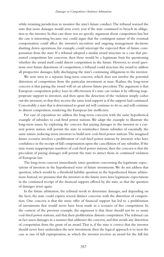while retaining jurisdiction to monitor the state's future conduct. The tribunal warned the state that more damages would arise every year if the state continued to breach its obligation to the investor. In that case there was no specific argument about competition law, but the case is interesting because one could argue that the contingent nature of the eventual compensation could affect the investor's incentives and ongoing management decisions: shutting down operations, for example, could interrupt the expected flow of future compensation from the state. If a tribunal adopted a similar award structure in a case that presented competition law concerns, then there would be a legitimate basis for questioning whether the award itself could distort competition in the future. However, to avoid questions over future distortions of competition, a tribunal could structure the award to address all prospective damages, fully discharging the state's continuing obligations to the investor.

We now turn to a separate long-term concern, which does not involve the potential distortion of competition from the particular investment at issue. Rather, the long-term concern is that paying the award will set an adverse future precedent. The argument is that European competition policy loses its effectiveness if a state can violate it by offering inappropriate support to investors, and then upon the detection of the violation simply cashes out the investors, so that they receive the same total support as if the support had continued. Conceivably a state that is determined to grant aid will continue to do so, and will continue to distort competition, rendering the European law ineffective.

For ease of exposition we address the long-term concerns with the same hypothetical example of subsidies to coal-fired power stations. We adapt the example to illustrate the long-term issues, by exploring the concern that paying damages to the investor in a current power station will permit the state to reintroduce future subsidies of essentially the same nature, inducing more investors to build new coal-fired power stations. The imagined future scenario involves a proliferation of coal-fired power stations by investors who have confidence in the receipt of full compensation upon the cancellation of any subsidies. If the state wants inappropriate numbers of coal-fired power stations, then the concern is that the precedent of paying damages will permit the state to attract them in continued violation of European law.

The long-term concern immediately raises questions concerning the legitimate expectations of investors in the hypothesised wave of future investments. We do not address that question, which would be a threshold liability question in the hypothesised future arbitrations. Instead, we presume that the investors in the future wave have legitimate expectations in the continued receipt of the financial support offered by the state, so that the question of damages arises again.

In the future arbitration, the tribunal needs to determine damages, and depending on the facts, the state could express several distinct concerns with the distortion of competition. One concern is that the mere offer of financial support has led to a proliferation of investments that would never have been made in a scenario of free competition. In the context of the previous example, the argument is that there should not be so many coal-fired power stations, and that their proliferation distorts competition. The tribunal can in fact assess damages in a manner that addresses the concern, and that avoids any distortion of competition from the grant of an award. That is, if the state is correct that the investor should never have undertaken the new investment, then the logical approach is to treat the case as one of full expropriation, in which the investor receives an award for the full fair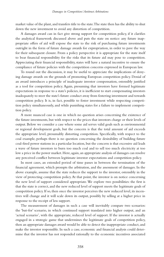market value of the plant, and transfers title to the state. The state then has the ability to shut down the new investment to avoid any distortion of competition.

A damages award can in fact give strong support for competition policy, if it clarifies the analytical framework discussed above and puts the state on notice: any future inappropriate offers of aid will expose the state to the risk of purchasing future investments outright in the form of future damage awards for expropriation, in order to pave the way for their subsequent closure. From a policy perspective it is appropriate for the state itself to bear financial responsibility for the risks that its future aid may pose to competition. Appreciating their financial responsibility, states will have a natural incentive to ensure the compliance of future policies with the competition concerns expressed in European law.

To round out the discussion, it may be useful to appreciate the implications of denying damage awards on the grounds of promoting European competition policy. Denial of an award introduces a principle of inadequate investor compensation, ostensibly justified as a tool for competition policy. Again, presuming that investors have formed legitimate expectations in response to a state's policies, it is inefficient to start compensating investors inadequately to steer the state's future conduct away from fostering investment and towards competition policy. It is, in fact, possible to foster investment while respecting competition policy simultaneously, and while punishing states for a failure to implement competition policy.

A more nuanced case is one in which no question arises concerning the existence of the future investments, but with respect to the prices that investors charge or their levels of output. Below we consider a case where some aid serves valid goals such as environmental or regional development goals, but the concern is that the total amount of aid exceeds the appropriate level, presumably distorting competition. Specifically, with respect to the coal example, perhaps there is no question concerning the desirability of building future coal-fired power stations in a particular location, but the concern is that excessive aid leads a wave of future investors to burn too much coal and to sell too much electricity at too low a price in the power market. Here, again, an appropriate analysis of damages can resolve any perceived conflict between legitimate investor expectations and competition policy.

In most cases, an extended period of time passes in between the termination of the financial agreement, which prompts the arbitration, and the assessment of damages. In the above example, assume that the state reduces the support to the investor, ostensibly in the view of protecting competition policy. At that point, the investor is on notice concerning the new level of support considered appropriate. We explore two possibilities: the first is that the state is correct, and the new reduced level of support meets the legitimate goals of competition policy. If so, then once the investor perceives the new reduced level, its incentives will change and it will scale down its output, possibly by selling at a higher price in response to the receipt of less support.

The measurement of damages in such a case will inevitably compare two scenarios: the 'but-for' scenario, in which continued support translated into higher output, and an 'actual scenario', with the appropriate, reduced level of support. If the investor is actually engaged in a strategic game that undermines the legitimate goals of competition policy, then an appropriate damages award would be able to detect the inappropriate conduct, and make the investor responsible. In such a case, economic and financial analysis could determine that the investor has not responded rationally to the economic incentives associated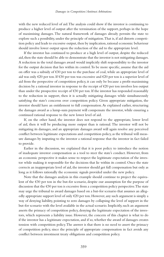with the new reduced level of aid. The analysis could show if the investor is continuing to produce a higher level of output after the termination of the support, perhaps in the hope of maximising damages. The natural framework of damages already permits the state to explore such a possibility, under the principle of mitigation. That is, if aid distorts competition policy and leads to excessive output, then by implication, rational economic behaviour should involve lower output upon the reduction of the aid to the appropriate level.

If the investor has continued to produce at a high level of output, despite the reduced aid, then the state should be able to demonstrate that the investor is not mitigating damages. A reduction in the total damages award would implicitly shift responsibility to the investor for the output decision that lies within its control. To be more specific, assume that the aid on offer was a subsidy of €30 per ton to the purchase of coal, while an appropriate level of aid was only €20 per ton. If €30 per ton was excessive and €20 per ton is a superior level of aid from the perspective of competition policy, it can only be because a profit-maximising decision by a rational investor in response to the receipt of  $\epsilon$ 20 per ton involves less output than under the prospective receipt of €30 per ton. If the investor has responded reasonably to the reduction in support, then it is actually mitigating damages while simultaneously satisfying the state's concerns over competition policy. Given appropriate mitigation, the investor should have an entitlement to full compensation. As explained earlier, structuring the damages award as a lump-sum payment will compensate the investor, while ensuring a continued rational response to the new lower level of aid.

If, on the other hand, the investor does not respond to the appropriate, lower level of aid, then it will be producing more output than is rational. The investor will not be mitigating its damages, and an appropriate damages award will again resolve any perceived conflict between legitimate expectations and competition policy, as the tribunal will measure damages by imputing to the investor a rational response that the investor in fact failed to provide.

Earlier in the discussion, we explained that it is poor policy to introduce the notion of inadequate investor compensation as a tool to steer the state's conduct. However, from an economic perspective it makes sense to respect the legitimate expectation of the investor while making it responsible for the decisions that lie within its control. Once the state corrects an inappropriate level of aid, the investor should get full compensation but only as long as it follows rationally the economic signals provided under the new policy.

Note that the damages analysis in this example should continue to project the equivalent of the €30 per ton in the but-for scenario, despite our assumption for the purpose of discussion that the €30 per ton is excessive from a competition policy perspective. The state may urge the tribunal to award damages based on a but-for scenario that assumes an allegedly appropriate support level of only  $\epsilon$ 20 per ton. However, any such argument is simply a way of denying liability, pointing to zero damages by collapsing the level of support in the but-for scenario with the level available in the actual scenario. Implicitly, such an argument asserts the primacy of competition policy, denying the legitimate expectation of the investors, which represents a liability issue. However, the concern of this chapter is what to do if the investor has a legitimate expectation, and if so, whether the award of damages creates tension with competition policy. The answer is that there is no need to assert the primacy of competition policy, since the principle of appropriate compensation in fact avoids any conflict between investment treaty obligations and competition policy.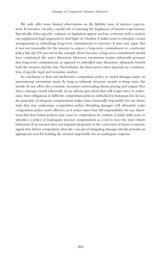We only offer some limited observations on the liability issue of investor expectations. Economics can play a useful role in assessing the legitimacy of investor expectations. Specifically, when specific contracts or legislation appear unclear, economic policy analysis can supplement legal argument to shed light on whether it makes sense to interpret certain arrangements as embodying long-term commitments to investors. A state may argue that it was not reasonable for the investor to expect a long-term commitment to a particular policy like the €30 per ton in the example above, because a long-term commitment would have constrained the state's discretion. However, investment treaties inherently presume that long-term commitments, as opposed to unbridled state discretion, ultimately benefit both the investor and the state. Nevertheless, the final answer often depends on a combination of specific legal and economic analysis.

In conclusion, it does not undermine competition policy to award damages under an international investment treaty. As long as tribunals structure awards as lump sums, the awards do not affect the economic incentives surrounding future pricing and output. Nor does a damages award inherently set an adverse precedent that will tempt states to undermine their obligations to fulfil the competition policies embodied in European law. In fact, the principle of adequate compensation makes states financially responsible for any future steps that may undermine competition policy. Awarding damages will ultimately make competition policy more effective, as it makes states bear full responsibility for any distortions that their future policies may cause to competition. In contrast, it makes little sense to introduce a policy of inadequate investor compensation as a tool to steer the state's future behaviour. If an investor does not respond adequately to the correction of future economic signals that distort competition, then the concept of mitigating damages already provides an appropriate tool for holding the investor responsible for an inadequate response.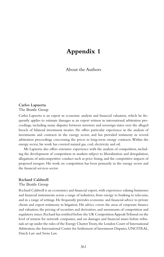## **Appendix 1**

About the Authors

#### **Carlos Lapuerta** The Brattle Group

Carlos Lapuerta is an expert in economic analysis and financial valuation, which he frequently applies to estimate damages as an expert witness in international arbitration proceedings, including many disputes between investors and sovereign states over the alleged breach of bilateral investment treaties. He offers particular experience in the analysis of investments and contracts in the energy sector, and has provided testimony in several arbitration proceedings concerning the prices in long-term energy contracts. Within the energy sector, his work has covered natural gas, coal, electricity and oil.

Mr Lapuerta also offers extensive experience with the analysis of competition, including the development of competition in markets subject to liberalization and deregulation, allegations of anticompetitive conduct such as price fixing, and the competitive impacts of proposed mergers. His work on competition has been primarily in the energy sector and the financial services sector.

#### **Richard Caldwell**

#### The Brattle Group

Richard Caldwell is an economics and financial expert, with experience valuing businesses and financial instruments across a range of industries, from energy to banking to telecoms, and in a range of settings. He frequently provides economic and financial advice to private clients and expert testimony in litigation. His advice covers the areas of corporate finance and valuation, the pricing of securities and derivatives, and assessments of competition and regulatory issues. Richard has testified before the UK Competition Appeals Tribunal on the level of returns for network companies, and on damages and financial issues before tribunals set up under the rules of the Energy Charter Treaty, the London Court of International Arbitration, the International Centre for Settlement of Investment Disputes, UNCITRAL, Dutch Law and Swiss Law.